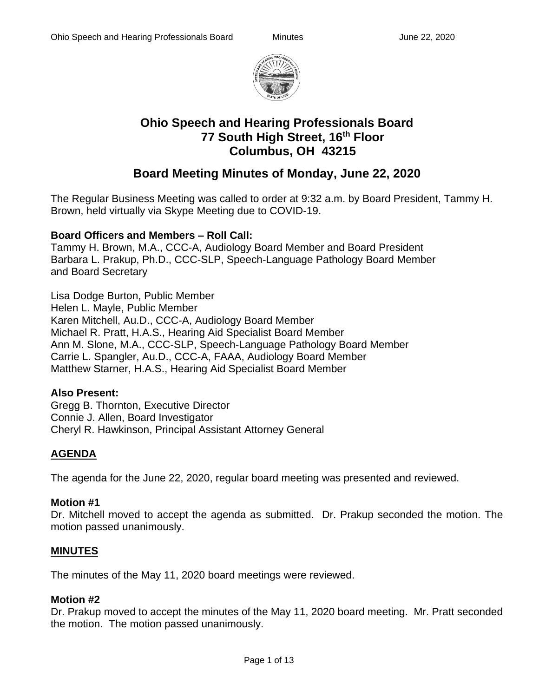

# **Ohio Speech and Hearing Professionals Board 77 South High Street, 16th Floor Columbus, OH 43215**

# **Board Meeting Minutes of Monday, June 22, 2020**

The Regular Business Meeting was called to order at 9:32 a.m. by Board President, Tammy H. Brown, held virtually via Skype Meeting due to COVID-19.

### **Board Officers and Members – Roll Call:**

Tammy H. Brown, M.A., CCC-A, Audiology Board Member and Board President Barbara L. Prakup, Ph.D., CCC-SLP, Speech-Language Pathology Board Member and Board Secretary

Lisa Dodge Burton, Public Member Helen L. Mayle, Public Member Karen Mitchell, Au.D., CCC-A, Audiology Board Member Michael R. Pratt, H.A.S., Hearing Aid Specialist Board Member Ann M. Slone, M.A., CCC-SLP, Speech-Language Pathology Board Member Carrie L. Spangler, Au.D., CCC-A, FAAA, Audiology Board Member Matthew Starner, H.A.S., Hearing Aid Specialist Board Member

### **Also Present:**

Gregg B. Thornton, Executive Director Connie J. Allen, Board Investigator Cheryl R. Hawkinson, Principal Assistant Attorney General

## **AGENDA**

The agenda for the June 22, 2020, regular board meeting was presented and reviewed.

### **Motion #1**

Dr. Mitchell moved to accept the agenda as submitted. Dr. Prakup seconded the motion. The motion passed unanimously.

### **MINUTES**

The minutes of the May 11, 2020 board meetings were reviewed.

### **Motion #2**

Dr. Prakup moved to accept the minutes of the May 11, 2020 board meeting. Mr. Pratt seconded the motion. The motion passed unanimously.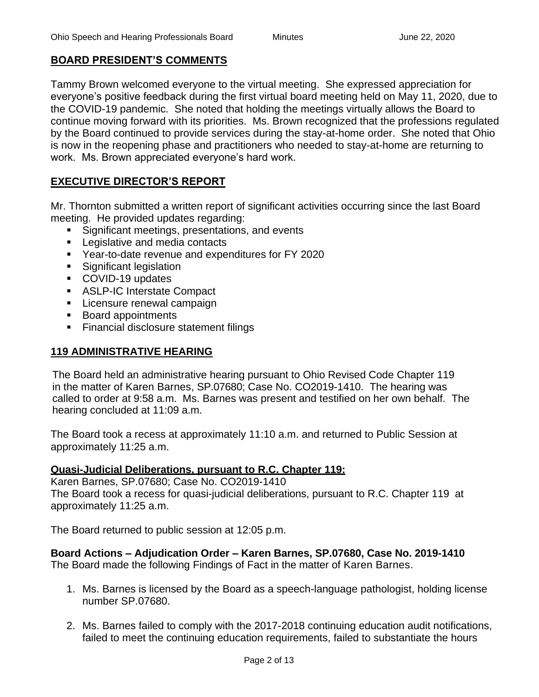### **BOARD PRESIDENT'S COMMENTS**

Tammy Brown welcomed everyone to the virtual meeting. She expressed appreciation for everyone's positive feedback during the first virtual board meeting held on May 11, 2020, due to the COVID-19 pandemic. She noted that holding the meetings virtually allows the Board to continue moving forward with its priorities. Ms. Brown recognized that the professions regulated by the Board continued to provide services during the stay-at-home order. She noted that Ohio is now in the reopening phase and practitioners who needed to stay-at-home are returning to work. Ms. Brown appreciated everyone's hard work.

### **EXECUTIVE DIRECTOR'S REPORT**

Mr. Thornton submitted a written report of significant activities occurring since the last Board meeting. He provided updates regarding:

- Significant meetings, presentations, and events
- Legislative and media contacts
- Year-to-date revenue and expenditures for FY 2020
- Significant legislation
- COVID-19 updates
- ASLP-IC Interstate Compact
- **E** Licensure renewal campaign
- Board appointments
- **EXECTE Financial disclosure statement filings**

### **119 ADMINISTRATIVE HEARING**

The Board held an administrative hearing pursuant to Ohio Revised Code Chapter 119 in the matter of Karen Barnes, SP.07680; Case No. CO2019-1410. The hearing was called to order at 9:58 a.m. Ms. Barnes was present and testified on her own behalf. The hearing concluded at 11:09 a.m.

The Board took a recess at approximately 11:10 a.m. and returned to Public Session at approximately 11:25 a.m.

### **Quasi-Judicial Deliberations, pursuant to R.C. Chapter 119:**

Karen Barnes, SP.07680; Case No. CO2019-1410 The Board took a recess for quasi-judicial deliberations, pursuant to R.C. Chapter 119 at approximately 11:25 a.m.

The Board returned to public session at 12:05 p.m.

**Board Actions – Adjudication Order – Karen Barnes, SP.07680, Case No. 2019-1410** The Board made the following Findings of Fact in the matter of Karen Barnes.

- 1. Ms. Barnes is licensed by the Board as a speech-language pathologist, holding license number SP.07680.
- 2. Ms. Barnes failed to comply with the 2017-2018 continuing education audit notifications, failed to meet the continuing education requirements, failed to substantiate the hours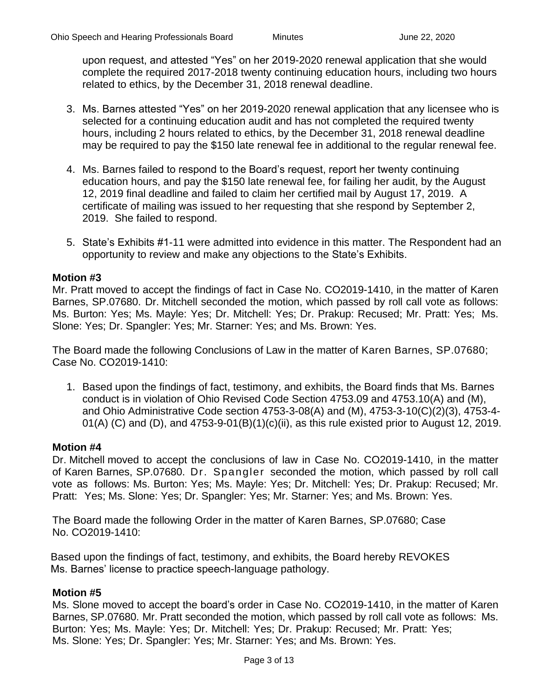upon request, and attested "Yes" on her 2019-2020 renewal application that she would complete the required 2017-2018 twenty continuing education hours, including two hours related to ethics, by the December 31, 2018 renewal deadline.

- 3. Ms. Barnes attested "Yes" on her 2019-2020 renewal application that any licensee who is selected for a continuing education audit and has not completed the required twenty hours, including 2 hours related to ethics, by the December 31, 2018 renewal deadline may be required to pay the \$150 late renewal fee in additional to the regular renewal fee.
- 4. Ms. Barnes failed to respond to the Board's request, report her twenty continuing education hours, and pay the \$150 late renewal fee, for failing her audit, by the August 12, 2019 final deadline and failed to claim her certified mail by August 17, 2019. A certificate of mailing was issued to her requesting that she respond by September 2, 2019. She failed to respond.
- 5. State's Exhibits #1-11 were admitted into evidence in this matter. The Respondent had an opportunity to review and make any objections to the State's Exhibits.

#### **Motion #3**

Mr. Pratt moved to accept the findings of fact in Case No. CO2019-1410, in the matter of Karen Barnes, SP.07680. Dr. Mitchell seconded the motion, which passed by roll call vote as follows: Ms. Burton: Yes; Ms. Mayle: Yes; Dr. Mitchell: Yes; Dr. Prakup: Recused; Mr. Pratt: Yes; Ms. Slone: Yes; Dr. Spangler: Yes; Mr. Starner: Yes; and Ms. Brown: Yes.

The Board made the following Conclusions of Law in the matter of Karen Barnes, SP.07680; Case No. CO2019-1410:

1. Based upon the findings of fact, testimony, and exhibits, the Board finds that Ms. Barnes conduct is in violation of Ohio Revised Code Section 4753.09 and 4753.10(A) and (M), and Ohio Administrative Code section 4753-3-08(A) and (M), 4753-3-10(C)(2)(3), 4753-4- 01(A) (C) and (D), and  $4753-9-01(B)(1)(c)(ii)$ , as this rule existed prior to August 12, 2019.

#### **Motion #4**

Dr. Mitchell moved to accept the conclusions of law in Case No. CO2019-1410, in the matter of Karen Barnes, SP.07680. Dr. Spangler seconded the motion, which passed by roll call vote as follows: Ms. Burton: Yes; Ms. Mayle: Yes; Dr. Mitchell: Yes; Dr. Prakup: Recused; Mr. Pratt: Yes; Ms. Slone: Yes; Dr. Spangler: Yes; Mr. Starner: Yes; and Ms. Brown: Yes.

The Board made the following Order in the matter of Karen Barnes, SP.07680; Case No. CO2019-1410:

Based upon the findings of fact, testimony, and exhibits, the Board hereby REVOKES Ms. Barnes' license to practice speech-language pathology.

#### **Motion #5**

Ms. Slone moved to accept the board's order in Case No. CO2019-1410, in the matter of Karen Barnes, SP.07680. Mr. Pratt seconded the motion, which passed by roll call vote as follows: Ms. Burton: Yes; Ms. Mayle: Yes; Dr. Mitchell: Yes; Dr. Prakup: Recused; Mr. Pratt: Yes; Ms. Slone: Yes; Dr. Spangler: Yes; Mr. Starner: Yes; and Ms. Brown: Yes.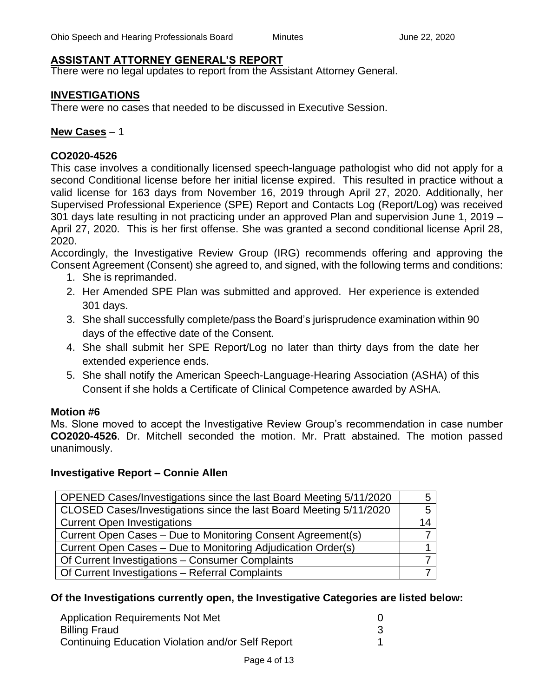### **ASSISTANT ATTORNEY GENERAL'S REPORT**

There were no legal updates to report from the Assistant Attorney General.

#### **INVESTIGATIONS**

There were no cases that needed to be discussed in Executive Session.

#### **New Cases** – 1

#### **CO2020-4526**

This case involves a conditionally licensed speech-language pathologist who did not apply for a second Conditional license before her initial license expired. This resulted in practice without a valid license for 163 days from November 16, 2019 through April 27, 2020. Additionally, her Supervised Professional Experience (SPE) Report and Contacts Log (Report/Log) was received 301 days late resulting in not practicing under an approved Plan and supervision June 1, 2019 – April 27, 2020. This is her first offense. She was granted a second conditional license April 28, 2020.

Accordingly, the Investigative Review Group (IRG) recommends offering and approving the Consent Agreement (Consent) she agreed to, and signed, with the following terms and conditions:

- 1. She is reprimanded.
- 2. Her Amended SPE Plan was submitted and approved. Her experience is extended 301 days.
- 3. She shall successfully complete/pass the Board's jurisprudence examination within 90 days of the effective date of the Consent.
- 4. She shall submit her SPE Report/Log no later than thirty days from the date her extended experience ends.
- 5. She shall notify the American Speech-Language-Hearing Association (ASHA) of this Consent if she holds a Certificate of Clinical Competence awarded by ASHA.

### **Motion #6**

Ms. Slone moved to accept the Investigative Review Group's recommendation in case number **CO2020-4526**. Dr. Mitchell seconded the motion. Mr. Pratt abstained. The motion passed unanimously.

#### **Investigative Report – Connie Allen**

| 14 |
|----|
|    |
|    |
|    |
|    |
|    |

### **Of the Investigations currently open, the Investigative Categories are listed below:**

| <b>Application Requirements Not Met</b>           |  |
|---------------------------------------------------|--|
| <b>Billing Fraud</b>                              |  |
| Continuing Education Violation and/or Self Report |  |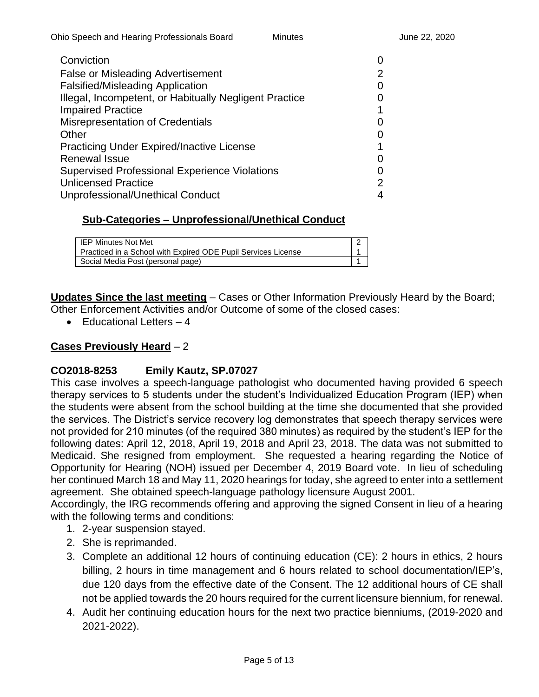| Conviction                                             |   |
|--------------------------------------------------------|---|
| <b>False or Misleading Advertisement</b>               |   |
| <b>Falsified/Misleading Application</b>                |   |
| Illegal, Incompetent, or Habitually Negligent Practice |   |
| <b>Impaired Practice</b>                               |   |
| Misrepresentation of Credentials                       |   |
| Other                                                  |   |
| <b>Practicing Under Expired/Inactive License</b>       |   |
| <b>Renewal Issue</b>                                   |   |
| <b>Supervised Professional Experience Violations</b>   |   |
| <b>Unlicensed Practice</b>                             | 2 |
| Unprofessional/Unethical Conduct                       |   |

### **Sub-Categories – Unprofessional/Unethical Conduct**

| IEP Minutes Not Met                                           |  |
|---------------------------------------------------------------|--|
| Practiced in a School with Expired ODE Pupil Services License |  |
| Social Media Post (personal page)                             |  |

**Updates Since the last meeting** – Cases or Other Information Previously Heard by the Board; Other Enforcement Activities and/or Outcome of some of the closed cases:

 $\bullet$  Fducational Letters  $-4$ 

### **Cases Previously Heard** – 2

### **CO2018-8253 Emily Kautz, SP.07027**

This case involves a speech-language pathologist who documented having provided 6 speech therapy services to 5 students under the student's Individualized Education Program (IEP) when the students were absent from the school building at the time she documented that she provided the services. The District's service recovery log demonstrates that speech therapy services were not provided for 210 minutes (of the required 380 minutes) as required by the student's IEP for the following dates: April 12, 2018, April 19, 2018 and April 23, 2018. The data was not submitted to Medicaid. She resigned from employment. She requested a hearing regarding the Notice of Opportunity for Hearing (NOH) issued per December 4, 2019 Board vote. In lieu of scheduling her continued March 18 and May 11, 2020 hearings for today, she agreed to enter into a settlement agreement. She obtained speech-language pathology licensure August 2001.

Accordingly, the IRG recommends offering and approving the signed Consent in lieu of a hearing with the following terms and conditions:

- 1. 2-year suspension stayed.
- 2. She is reprimanded.
- 3. Complete an additional 12 hours of continuing education (CE): 2 hours in ethics, 2 hours billing, 2 hours in time management and 6 hours related to school documentation/IEP's, due 120 days from the effective date of the Consent. The 12 additional hours of CE shall not be applied towards the 20 hours required for the current licensure biennium, for renewal.
- 4. Audit her continuing education hours for the next two practice bienniums, (2019-2020 and 2021-2022).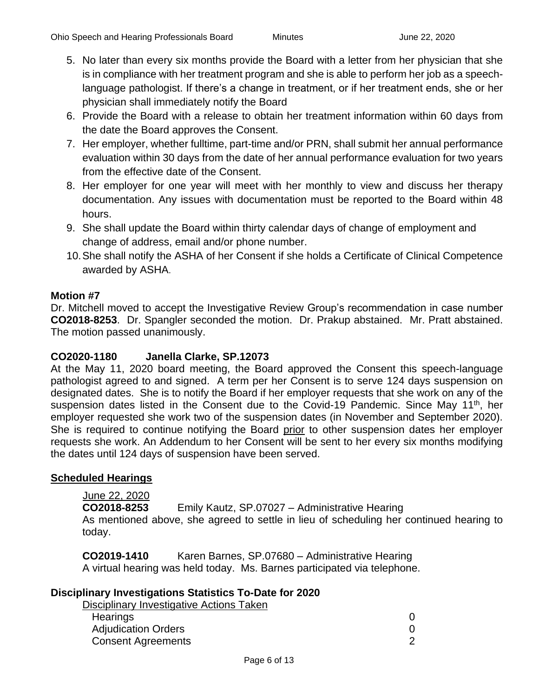- 5. No later than every six months provide the Board with a letter from her physician that she is in compliance with her treatment program and she is able to perform her job as a speechlanguage pathologist. If there's a change in treatment, or if her treatment ends, she or her physician shall immediately notify the Board
- 6. Provide the Board with a release to obtain her treatment information within 60 days from the date the Board approves the Consent.
- 7. Her employer, whether fulltime, part-time and/or PRN, shall submit her annual performance evaluation within 30 days from the date of her annual performance evaluation for two years from the effective date of the Consent.
- 8. Her employer for one year will meet with her monthly to view and discuss her therapy documentation. Any issues with documentation must be reported to the Board within 48 hours.
- 9. She shall update the Board within thirty calendar days of change of employment and change of address, email and/or phone number.
- 10.She shall notify the ASHA of her Consent if she holds a Certificate of Clinical Competence awarded by ASHA.

### **Motion #7**

Dr. Mitchell moved to accept the Investigative Review Group's recommendation in case number **CO2018-8253**. Dr. Spangler seconded the motion. Dr. Prakup abstained. Mr. Pratt abstained. The motion passed unanimously.

### **CO2020-1180 Janella Clarke, SP.12073**

At the May 11, 2020 board meeting, the Board approved the Consent this speech-language pathologist agreed to and signed. A term per her Consent is to serve 124 days suspension on designated dates. She is to notify the Board if her employer requests that she work on any of the suspension dates listed in the Consent due to the Covid-19 Pandemic. Since May 11<sup>th</sup>, her employer requested she work two of the suspension dates (in November and September 2020). She is required to continue notifying the Board prior to other suspension dates her employer requests she work. An Addendum to her Consent will be sent to her every six months modifying the dates until 124 days of suspension have been served.

### **Scheduled Hearings**

### June 22, 2020

**CO2018-8253** Emily Kautz, SP.07027 – Administrative Hearing

As mentioned above, she agreed to settle in lieu of scheduling her continued hearing to today.

**CO2019-1410** Karen Barnes, SP.07680 – Administrative Hearing A virtual hearing was held today. Ms. Barnes participated via telephone.

### **Disciplinary Investigations Statistics To-Date for 2020**

| Disciplinary Investigative Actions Taken |  |
|------------------------------------------|--|
| Hearings                                 |  |
| <b>Adjudication Orders</b>               |  |
| <b>Consent Agreements</b>                |  |
|                                          |  |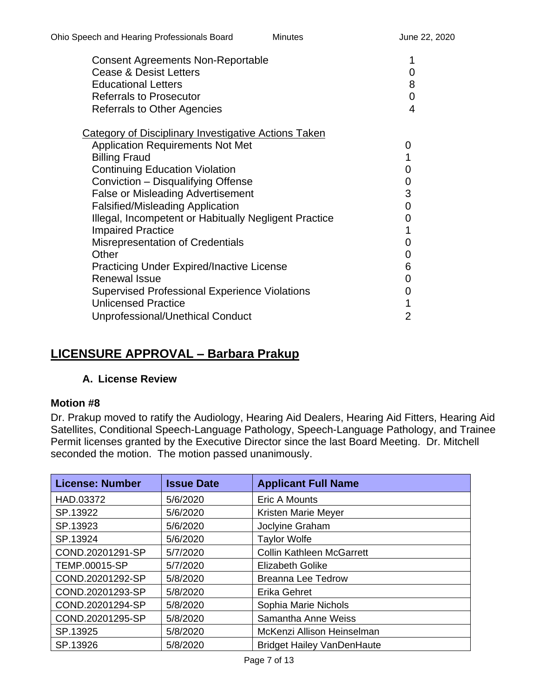| <b>Consent Agreements Non-Reportable</b><br><b>Cease &amp; Desist Letters</b><br><b>Educational Letters</b><br><b>Referrals to Prosecutor</b> | 0<br>8<br>0    |
|-----------------------------------------------------------------------------------------------------------------------------------------------|----------------|
| <b>Referrals to Other Agencies</b>                                                                                                            | $\overline{4}$ |
| Category of Disciplinary Investigative Actions Taken                                                                                          |                |
| <b>Application Requirements Not Met</b>                                                                                                       | 0              |
| <b>Billing Fraud</b>                                                                                                                          | 1              |
| <b>Continuing Education Violation</b>                                                                                                         | 0              |
| Conviction - Disqualifying Offense                                                                                                            | 0              |
| <b>False or Misleading Advertisement</b>                                                                                                      | 3              |
| <b>Falsified/Misleading Application</b>                                                                                                       | 0              |
| Illegal, Incompetent or Habitually Negligent Practice                                                                                         | 0              |
| <b>Impaired Practice</b>                                                                                                                      | 1              |
| <b>Misrepresentation of Credentials</b>                                                                                                       | 0              |
| Other                                                                                                                                         | 0              |
| <b>Practicing Under Expired/Inactive License</b>                                                                                              | 6              |
| Renewal Issue                                                                                                                                 | 0              |
| <b>Supervised Professional Experience Violations</b>                                                                                          | 0              |
| <b>Unlicensed Practice</b>                                                                                                                    | 1              |
| Unprofessional/Unethical Conduct                                                                                                              | 2              |

# **LICENSURE APPROVAL – Barbara Prakup**

### **A. License Review**

### **Motion #8**

Dr. Prakup moved to ratify the Audiology, Hearing Aid Dealers, Hearing Aid Fitters, Hearing Aid Satellites, Conditional Speech-Language Pathology, Speech-Language Pathology, and Trainee Permit licenses granted by the Executive Director since the last Board Meeting. Dr. Mitchell seconded the motion. The motion passed unanimously.

| <b>License: Number</b> | <b>Issue Date</b> | <b>Applicant Full Name</b>        |
|------------------------|-------------------|-----------------------------------|
| HAD.03372              | 5/6/2020          | <b>Eric A Mounts</b>              |
| SP.13922               | 5/6/2020          | Kristen Marie Meyer               |
| SP.13923               | 5/6/2020          | Joclyine Graham                   |
| SP.13924               | 5/6/2020          | <b>Taylor Wolfe</b>               |
| COND.20201291-SP       | 5/7/2020          | <b>Collin Kathleen McGarrett</b>  |
| TEMP.00015-SP          | 5/7/2020          | <b>Elizabeth Golike</b>           |
| COND.20201292-SP       | 5/8/2020          | <b>Breanna Lee Tedrow</b>         |
| COND.20201293-SP       | 5/8/2020          | Erika Gehret                      |
| COND.20201294-SP       | 5/8/2020          | Sophia Marie Nichols              |
| COND.20201295-SP       | 5/8/2020          | Samantha Anne Weiss               |
| SP.13925               | 5/8/2020          | McKenzi Allison Heinselman        |
| SP.13926               | 5/8/2020          | <b>Bridget Hailey VanDenHaute</b> |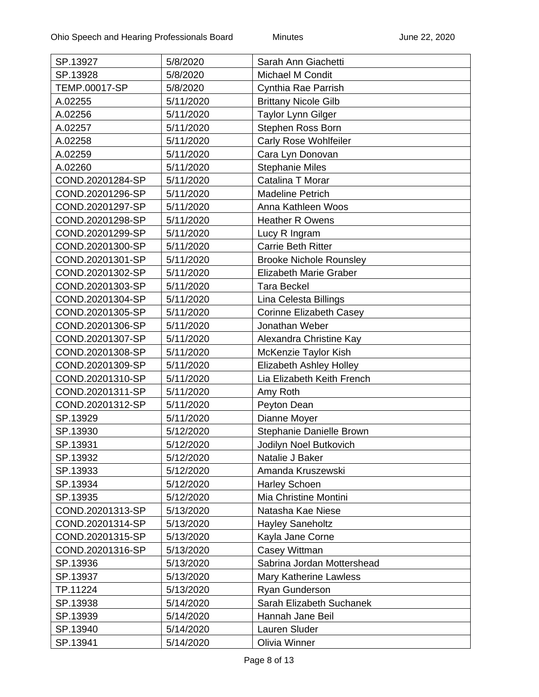| SP.13927         | 5/8/2020  | Sarah Ann Giachetti            |
|------------------|-----------|--------------------------------|
| SP.13928         | 5/8/2020  | <b>Michael M Condit</b>        |
| TEMP.00017-SP    | 5/8/2020  | Cynthia Rae Parrish            |
| A.02255          | 5/11/2020 | <b>Brittany Nicole Gilb</b>    |
| A.02256          | 5/11/2020 | Taylor Lynn Gilger             |
| A.02257          | 5/11/2020 | Stephen Ross Born              |
| A.02258          | 5/11/2020 | <b>Carly Rose Wohlfeiler</b>   |
| A.02259          | 5/11/2020 | Cara Lyn Donovan               |
| A.02260          | 5/11/2020 | <b>Stephanie Miles</b>         |
| COND.20201284-SP | 5/11/2020 | Catalina T Morar               |
| COND.20201296-SP | 5/11/2020 | Madeline Petrich               |
| COND.20201297-SP | 5/11/2020 | Anna Kathleen Woos             |
| COND.20201298-SP | 5/11/2020 | <b>Heather R Owens</b>         |
| COND.20201299-SP | 5/11/2020 | Lucy R Ingram                  |
| COND.20201300-SP | 5/11/2020 | Carrie Beth Ritter             |
| COND.20201301-SP | 5/11/2020 | <b>Brooke Nichole Rounsley</b> |
| COND.20201302-SP | 5/11/2020 | <b>Elizabeth Marie Graber</b>  |
| COND.20201303-SP | 5/11/2020 | <b>Tara Beckel</b>             |
| COND.20201304-SP | 5/11/2020 | Lina Celesta Billings          |
| COND.20201305-SP | 5/11/2020 | <b>Corinne Elizabeth Casey</b> |
| COND.20201306-SP | 5/11/2020 | Jonathan Weber                 |
| COND.20201307-SP | 5/11/2020 | Alexandra Christine Kay        |
| COND.20201308-SP | 5/11/2020 | McKenzie Taylor Kish           |
| COND.20201309-SP | 5/11/2020 | <b>Elizabeth Ashley Holley</b> |
| COND.20201310-SP | 5/11/2020 | Lia Elizabeth Keith French     |
| COND.20201311-SP | 5/11/2020 | Amy Roth                       |
| COND.20201312-SP | 5/11/2020 | Peyton Dean                    |
| SP.13929         | 5/11/2020 | Dianne Moyer                   |
| SP.13930         | 5/12/2020 | Stephanie Danielle Brown       |
| SP.13931         | 5/12/2020 | Jodilyn Noel Butkovich         |
| SP.13932         | 5/12/2020 | Natalie J Baker                |
| SP.13933         | 5/12/2020 | Amanda Kruszewski              |
| SP.13934         | 5/12/2020 | <b>Harley Schoen</b>           |
| SP.13935         | 5/12/2020 | Mia Christine Montini          |
| COND.20201313-SP | 5/13/2020 | Natasha Kae Niese              |
| COND.20201314-SP | 5/13/2020 | <b>Hayley Saneholtz</b>        |
| COND.20201315-SP | 5/13/2020 | Kayla Jane Corne               |
| COND.20201316-SP | 5/13/2020 | Casey Wittman                  |
| SP.13936         | 5/13/2020 | Sabrina Jordan Mottershead     |
| SP.13937         | 5/13/2020 | <b>Mary Katherine Lawless</b>  |
| TP.11224         | 5/13/2020 | Ryan Gunderson                 |
| SP.13938         | 5/14/2020 | Sarah Elizabeth Suchanek       |
| SP.13939         | 5/14/2020 | Hannah Jane Beil               |
| SP.13940         | 5/14/2020 | Lauren Sluder                  |
| SP.13941         | 5/14/2020 | Olivia Winner                  |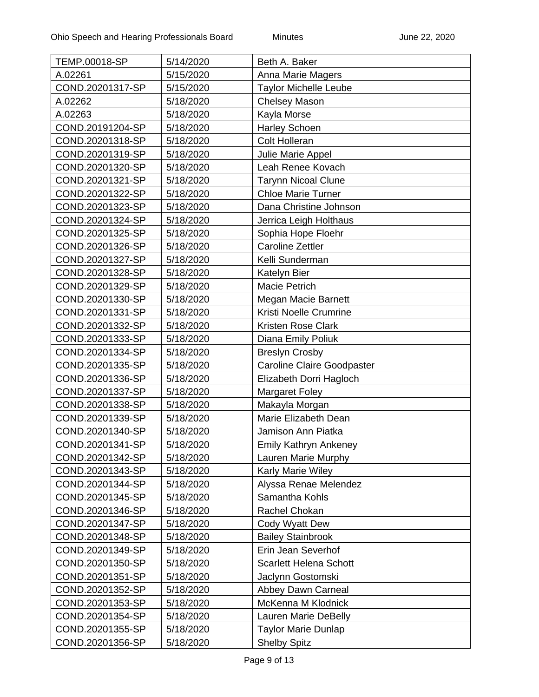| <b>TEMP.00018-SP</b> | 5/14/2020 | Beth A. Baker                     |
|----------------------|-----------|-----------------------------------|
| A.02261              | 5/15/2020 | Anna Marie Magers                 |
| COND.20201317-SP     | 5/15/2020 | <b>Taylor Michelle Leube</b>      |
| A.02262              | 5/18/2020 | Chelsey Mason                     |
| A.02263              | 5/18/2020 | Kayla Morse                       |
| COND.20191204-SP     | 5/18/2020 | <b>Harley Schoen</b>              |
| COND.20201318-SP     | 5/18/2020 | <b>Colt Holleran</b>              |
| COND.20201319-SP     | 5/18/2020 | Julie Marie Appel                 |
| COND.20201320-SP     | 5/18/2020 | Leah Renee Kovach                 |
| COND.20201321-SP     | 5/18/2020 | <b>Tarynn Nicoal Clune</b>        |
| COND.20201322-SP     | 5/18/2020 | <b>Chloe Marie Turner</b>         |
| COND.20201323-SP     | 5/18/2020 | Dana Christine Johnson            |
| COND.20201324-SP     | 5/18/2020 | Jerrica Leigh Holthaus            |
| COND.20201325-SP     | 5/18/2020 | Sophia Hope Floehr                |
| COND.20201326-SP     | 5/18/2020 | <b>Caroline Zettler</b>           |
| COND.20201327-SP     | 5/18/2020 | Kelli Sunderman                   |
| COND.20201328-SP     | 5/18/2020 | Katelyn Bier                      |
| COND.20201329-SP     | 5/18/2020 | <b>Macie Petrich</b>              |
| COND.20201330-SP     | 5/18/2020 | Megan Macie Barnett               |
| COND.20201331-SP     | 5/18/2020 | Kristi Noelle Crumrine            |
| COND.20201332-SP     | 5/18/2020 | <b>Kristen Rose Clark</b>         |
| COND.20201333-SP     | 5/18/2020 | Diana Emily Poliuk                |
| COND.20201334-SP     | 5/18/2020 | <b>Breslyn Crosby</b>             |
| COND.20201335-SP     | 5/18/2020 | <b>Caroline Claire Goodpaster</b> |
| COND.20201336-SP     | 5/18/2020 | Elizabeth Dorri Hagloch           |
| COND.20201337-SP     | 5/18/2020 | <b>Margaret Foley</b>             |
| COND.20201338-SP     | 5/18/2020 | Makayla Morgan                    |
| COND.20201339-SP     | 5/18/2020 | Marie Elizabeth Dean              |
| COND.20201340-SP     | 5/18/2020 | Jamison Ann Piatka                |
| COND.20201341-SP     | 5/18/2020 | <b>Emily Kathryn Ankeney</b>      |
| COND.20201342-SP     | 5/18/2020 | Lauren Marie Murphy               |
| COND.20201343-SP     | 5/18/2020 | <b>Karly Marie Wiley</b>          |
| COND.20201344-SP     | 5/18/2020 | Alyssa Renae Melendez             |
| COND.20201345-SP     | 5/18/2020 | Samantha Kohls                    |
| COND.20201346-SP     | 5/18/2020 | Rachel Chokan                     |
| COND.20201347-SP     | 5/18/2020 | Cody Wyatt Dew                    |
| COND.20201348-SP     | 5/18/2020 | <b>Bailey Stainbrook</b>          |
| COND.20201349-SP     | 5/18/2020 | Erin Jean Severhof                |
| COND.20201350-SP     | 5/18/2020 | <b>Scarlett Helena Schott</b>     |
| COND.20201351-SP     | 5/18/2020 | Jaclynn Gostomski                 |
| COND.20201352-SP     | 5/18/2020 | Abbey Dawn Carneal                |
| COND.20201353-SP     | 5/18/2020 | McKenna M Klodnick                |
| COND.20201354-SP     | 5/18/2020 | Lauren Marie DeBelly              |
| COND.20201355-SP     | 5/18/2020 | <b>Taylor Marie Dunlap</b>        |
| COND.20201356-SP     | 5/18/2020 | <b>Shelby Spitz</b>               |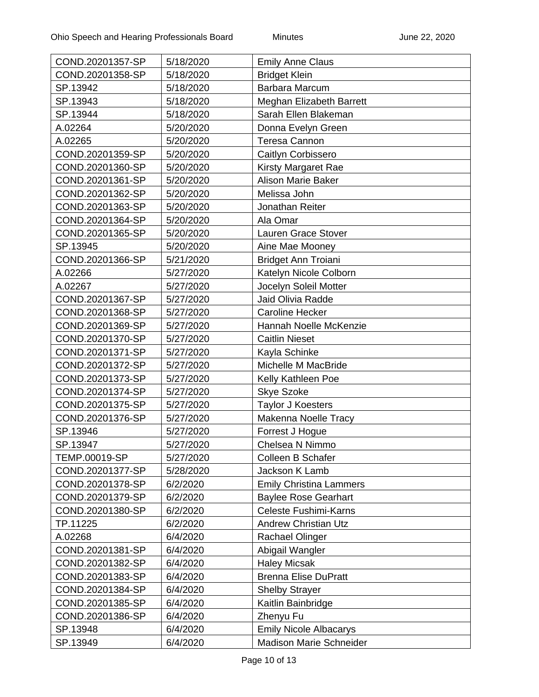| COND.20201357-SP | 5/18/2020 | <b>Emily Anne Claus</b>        |
|------------------|-----------|--------------------------------|
| COND.20201358-SP | 5/18/2020 | <b>Bridget Klein</b>           |
| SP.13942         | 5/18/2020 | Barbara Marcum                 |
| SP.13943         | 5/18/2020 | Meghan Elizabeth Barrett       |
| SP.13944         | 5/18/2020 | Sarah Ellen Blakeman           |
| A.02264          | 5/20/2020 | Donna Evelyn Green             |
| A.02265          | 5/20/2020 | <b>Teresa Cannon</b>           |
| COND.20201359-SP | 5/20/2020 | Caitlyn Corbissero             |
| COND.20201360-SP | 5/20/2020 | <b>Kirsty Margaret Rae</b>     |
| COND.20201361-SP | 5/20/2020 | <b>Alison Marie Baker</b>      |
| COND.20201362-SP | 5/20/2020 | Melissa John                   |
| COND.20201363-SP | 5/20/2020 | Jonathan Reiter                |
| COND.20201364-SP | 5/20/2020 | Ala Omar                       |
| COND.20201365-SP | 5/20/2020 | Lauren Grace Stover            |
| SP.13945         | 5/20/2020 | Aine Mae Mooney                |
| COND.20201366-SP | 5/21/2020 | <b>Bridget Ann Troiani</b>     |
| A.02266          | 5/27/2020 | Katelyn Nicole Colborn         |
| A.02267          | 5/27/2020 | Jocelyn Soleil Motter          |
| COND.20201367-SP | 5/27/2020 | Jaid Olivia Radde              |
| COND.20201368-SP | 5/27/2020 | <b>Caroline Hecker</b>         |
| COND.20201369-SP | 5/27/2020 | Hannah Noelle McKenzie         |
| COND.20201370-SP | 5/27/2020 | <b>Caitlin Nieset</b>          |
| COND.20201371-SP | 5/27/2020 | Kayla Schinke                  |
| COND.20201372-SP | 5/27/2020 | Michelle M MacBride            |
| COND.20201373-SP | 5/27/2020 | Kelly Kathleen Poe             |
| COND.20201374-SP | 5/27/2020 | <b>Skye Szoke</b>              |
| COND.20201375-SP | 5/27/2020 | <b>Taylor J Koesters</b>       |
| COND.20201376-SP | 5/27/2020 | Makenna Noelle Tracy           |
| SP.13946         | 5/27/2020 | Forrest J Hogue                |
| SP.13947         | 5/27/2020 | Chelsea N Nimmo                |
| TEMP.00019-SP    | 5/27/2020 | <b>Colleen B Schafer</b>       |
| COND.20201377-SP | 5/28/2020 | Jackson K Lamb                 |
| COND.20201378-SP | 6/2/2020  | <b>Emily Christina Lammers</b> |
| COND.20201379-SP | 6/2/2020  | <b>Baylee Rose Gearhart</b>    |
| COND.20201380-SP | 6/2/2020  | <b>Celeste Fushimi-Karns</b>   |
| TP.11225         | 6/2/2020  | <b>Andrew Christian Utz</b>    |
| A.02268          | 6/4/2020  | Rachael Olinger                |
| COND.20201381-SP | 6/4/2020  | Abigail Wangler                |
| COND.20201382-SP | 6/4/2020  | <b>Haley Micsak</b>            |
| COND.20201383-SP | 6/4/2020  | <b>Brenna Elise DuPratt</b>    |
| COND.20201384-SP | 6/4/2020  | <b>Shelby Strayer</b>          |
| COND.20201385-SP | 6/4/2020  | Kaitlin Bainbridge             |
| COND.20201386-SP | 6/4/2020  | Zhenyu Fu                      |
| SP.13948         | 6/4/2020  | <b>Emily Nicole Albacarys</b>  |
| SP.13949         | 6/4/2020  | <b>Madison Marie Schneider</b> |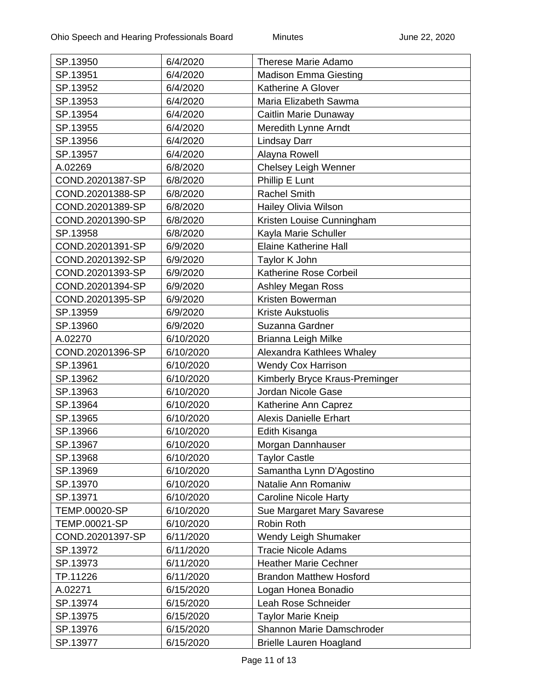| SP.13950         | 6/4/2020  | <b>Therese Marie Adamo</b>     |
|------------------|-----------|--------------------------------|
| SP.13951         | 6/4/2020  | <b>Madison Emma Giesting</b>   |
| SP.13952         | 6/4/2020  | Katherine A Glover             |
| SP.13953         | 6/4/2020  | Maria Elizabeth Sawma          |
| SP.13954         | 6/4/2020  | Caitlin Marie Dunaway          |
| SP.13955         | 6/4/2020  | Meredith Lynne Arndt           |
| SP.13956         | 6/4/2020  | <b>Lindsay Darr</b>            |
| SP.13957         | 6/4/2020  | Alayna Rowell                  |
| A.02269          | 6/8/2020  | <b>Chelsey Leigh Wenner</b>    |
| COND.20201387-SP | 6/8/2020  | Phillip E Lunt                 |
| COND.20201388-SP | 6/8/2020  | <b>Rachel Smith</b>            |
| COND.20201389-SP | 6/8/2020  | <b>Hailey Olivia Wilson</b>    |
| COND.20201390-SP | 6/8/2020  | Kristen Louise Cunningham      |
| SP.13958         | 6/8/2020  | Kayla Marie Schuller           |
| COND.20201391-SP | 6/9/2020  | <b>Elaine Katherine Hall</b>   |
| COND.20201392-SP | 6/9/2020  | Taylor K John                  |
| COND.20201393-SP | 6/9/2020  | Katherine Rose Corbeil         |
| COND.20201394-SP | 6/9/2020  | <b>Ashley Megan Ross</b>       |
| COND.20201395-SP | 6/9/2020  | Kristen Bowerman               |
| SP.13959         | 6/9/2020  | <b>Kriste Aukstuolis</b>       |
| SP.13960         | 6/9/2020  | Suzanna Gardner                |
| A.02270          | 6/10/2020 | Brianna Leigh Milke            |
| COND.20201396-SP | 6/10/2020 | Alexandra Kathlees Whaley      |
| SP.13961         | 6/10/2020 | <b>Wendy Cox Harrison</b>      |
| SP.13962         | 6/10/2020 | Kimberly Bryce Kraus-Preminger |
| SP.13963         | 6/10/2020 | Jordan Nicole Gase             |
| SP.13964         | 6/10/2020 | Katherine Ann Caprez           |
| SP.13965         | 6/10/2020 | <b>Alexis Danielle Erhart</b>  |
| SP.13966         | 6/10/2020 | Edith Kisanga                  |
| SP.13967         | 6/10/2020 | Morgan Dannhauser              |
| SP.13968         | 6/10/2020 | <b>Taylor Castle</b>           |
| SP.13969         | 6/10/2020 | Samantha Lynn D'Agostino       |
| SP.13970         | 6/10/2020 | Natalie Ann Romaniw            |
| SP.13971         | 6/10/2020 | <b>Caroline Nicole Harty</b>   |
| TEMP.00020-SP    | 6/10/2020 | Sue Margaret Mary Savarese     |
| TEMP.00021-SP    | 6/10/2020 | Robin Roth                     |
| COND.20201397-SP | 6/11/2020 | Wendy Leigh Shumaker           |
| SP.13972         | 6/11/2020 | <b>Tracie Nicole Adams</b>     |
| SP.13973         | 6/11/2020 | <b>Heather Marie Cechner</b>   |
| TP.11226         | 6/11/2020 | <b>Brandon Matthew Hosford</b> |
| A.02271          | 6/15/2020 | Logan Honea Bonadio            |
| SP.13974         | 6/15/2020 | Leah Rose Schneider            |
| SP.13975         | 6/15/2020 | <b>Taylor Marie Kneip</b>      |
| SP.13976         | 6/15/2020 | Shannon Marie Damschroder      |
| SP.13977         | 6/15/2020 | <b>Brielle Lauren Hoagland</b> |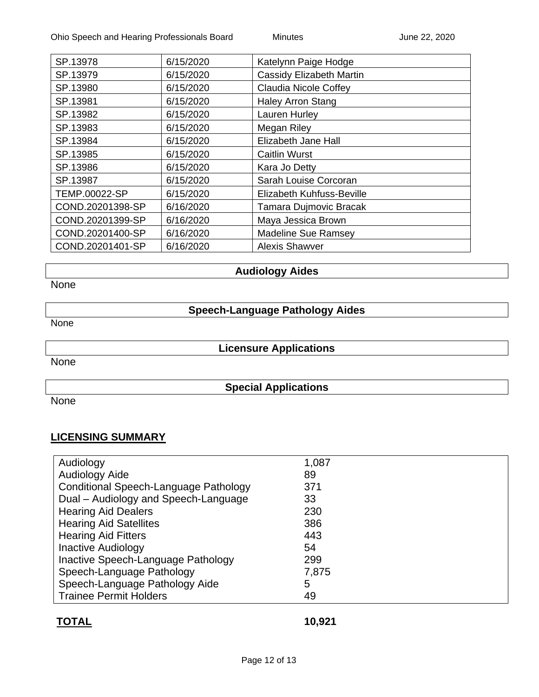| SP.13978         | 6/15/2020 | Katelynn Paige Hodge            |
|------------------|-----------|---------------------------------|
| SP.13979         | 6/15/2020 | <b>Cassidy Elizabeth Martin</b> |
| SP.13980         | 6/15/2020 | <b>Claudia Nicole Coffey</b>    |
| SP.13981         | 6/15/2020 | <b>Haley Arron Stang</b>        |
| SP.13982         | 6/15/2020 | Lauren Hurley                   |
| SP.13983         | 6/15/2020 | Megan Riley                     |
| SP.13984         | 6/15/2020 | Elizabeth Jane Hall             |
| SP.13985         | 6/15/2020 | <b>Caitlin Wurst</b>            |
| SP.13986         | 6/15/2020 | Kara Jo Detty                   |
| SP.13987         | 6/15/2020 | Sarah Louise Corcoran           |
| TEMP.00022-SP    | 6/15/2020 | Elizabeth Kuhfuss-Beville       |
| COND.20201398-SP | 6/16/2020 | Tamara Dujmovic Bracak          |
| COND.20201399-SP | 6/16/2020 | Maya Jessica Brown              |
| COND.20201400-SP | 6/16/2020 | <b>Madeline Sue Ramsey</b>      |
| COND.20201401-SP | 6/16/2020 | <b>Alexis Shawver</b>           |
|                  |           |                                 |

### **Audiology Aides**

None

## **Speech-Language Pathology Aides**

None

None

# **Licensure Applications**

**Special Applications**

None

### **LICENSING SUMMARY**

| Audiology                             | 1,087 |
|---------------------------------------|-------|
| Audiology Aide                        | 89    |
| Conditional Speech-Language Pathology | 371   |
| Dual - Audiology and Speech-Language  | 33    |
| <b>Hearing Aid Dealers</b>            | 230   |
| <b>Hearing Aid Satellites</b>         | 386   |
| <b>Hearing Aid Fitters</b>            | 443   |
| <b>Inactive Audiology</b>             | 54    |
| Inactive Speech-Language Pathology    | 299   |
| Speech-Language Pathology             | 7,875 |
| Speech-Language Pathology Aide        | 5     |
| <b>Trainee Permit Holders</b>         | 49    |

## **TOTAL 10,921**